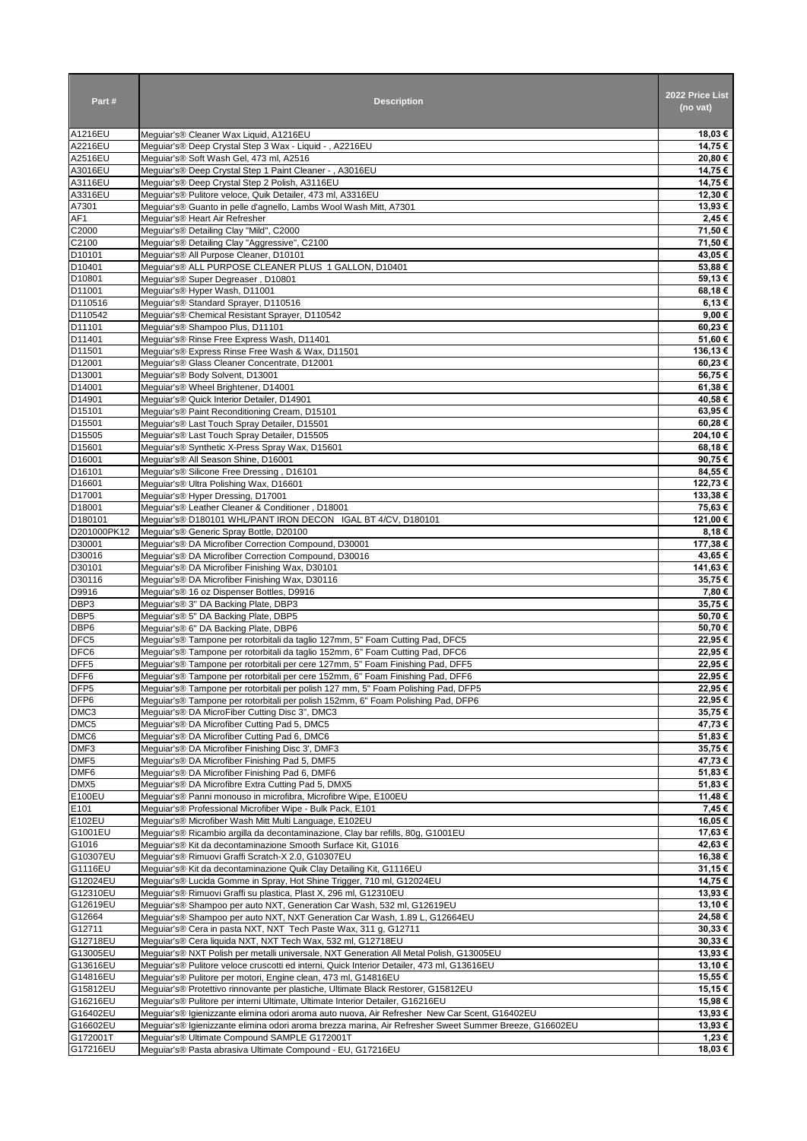| Part#                                | <b>Description</b>                                                                                                                                           | 2022 Price List<br>(no vat) |
|--------------------------------------|--------------------------------------------------------------------------------------------------------------------------------------------------------------|-----------------------------|
| A1216EU                              | Meguiar's® Cleaner Wax Liquid, A1216EU                                                                                                                       | 18,03 €                     |
| A2216EU                              | Meguiar's® Deep Crystal Step 3 Wax - Liquid - , A2216EU                                                                                                      | 14,75 €                     |
| A2516EU                              | Mequiar's® Soft Wash Gel, 473 ml, A2516                                                                                                                      | 20,80 €                     |
| A3016EU<br>A3116EU                   | Meguiar's® Deep Crystal Step 1 Paint Cleaner - , A3016EU<br>Meguiar's® Deep Crystal Step 2 Polish, A3116EU                                                   | 14,75 €<br>14,75 €          |
| A3316EU                              | Mequiar's® Pulitore veloce, Quik Detailer, 473 ml, A3316EU                                                                                                   | 12,30 €                     |
| A7301                                | Meguiar's® Guanto in pelle d'agnello, Lambs Wool Wash Mitt, A7301                                                                                            | 13,93 €                     |
| AF1                                  | Mequiar's® Heart Air Refresher                                                                                                                               | 2,45 €                      |
| C2000                                | Meguiar's® Detailing Clay "Mild", C2000                                                                                                                      | 71,50 €                     |
| C2100                                | Meguiar's® Detailing Clay "Aggressive", C2100                                                                                                                | 71.50 €                     |
| D10101                               | Mequiar's® All Purpose Cleaner, D10101                                                                                                                       | 43.05 €                     |
| D10401<br>D10801                     | Mequiar's® ALL PURPOSE CLEANER PLUS 1 GALLON, D10401                                                                                                         | 53.88€                      |
| D11001                               | Meguiar's® Super Degreaser, D10801<br>Mequiar's® Hyper Wash, D11001                                                                                          | 59,13€<br>68,18€            |
| D110516                              | Meguiar's® Standard Sprayer, D110516                                                                                                                         | 6,13€                       |
| D110542                              | Mequiar's® Chemical Resistant Sprayer, D110542                                                                                                               | 9,00 €                      |
| D11101                               | Meguiar's® Shampoo Plus, D11101                                                                                                                              | 60,23€                      |
| D11401                               | Mequiar's® Rinse Free Express Wash, D11401                                                                                                                   | 51,60 €                     |
| D11501                               | Mequiar's® Express Rinse Free Wash & Wax, D11501                                                                                                             | 136,13€                     |
| D12001                               | Meguiar's® Glass Cleaner Concentrate, D12001                                                                                                                 | 60,23€                      |
| D13001                               | Meguiar's® Body Solvent, D13001                                                                                                                              | 56,75€                      |
| D14001<br>D14901                     | Meguiar's® Wheel Brightener, D14001                                                                                                                          | 61,38€                      |
| D15101                               | Meguiar's® Quick Interior Detailer, D14901<br>Meguiar's® Paint Reconditioning Cream, D15101                                                                  | 40,58€<br>63.95€            |
| D15501                               | Mequiar's® Last Touch Spray Detailer, D15501                                                                                                                 | 60,28€                      |
| D15505                               | Mequiar's® Last Touch Spray Detailer, D15505                                                                                                                 | 204,10€                     |
| D15601                               | Mequiar's® Synthetic X-Press Spray Wax, D15601                                                                                                               | 68,18€                      |
| D16001                               | Meguiar's® All Season Shine, D16001                                                                                                                          | 90,75 €                     |
| D16101                               | Meguiar's® Silicone Free Dressing, D16101                                                                                                                    | 84,55€                      |
| D16601                               | Meguiar's® Ultra Polishing Wax, D16601                                                                                                                       | 122,73 €                    |
| D17001                               | Meguiar's® Hyper Dressing, D17001                                                                                                                            | 133,38€                     |
| D18001<br>D180101                    | Meguiar's® Leather Cleaner & Conditioner, D18001<br>Meguiar's® D180101 WHL/PANT IRON DECON IGAL BT 4/CV, D180101                                             | 75,63€<br>121,00 €          |
| D201000PK12                          | Meguiar's® Generic Spray Bottle, D20100                                                                                                                      | 8,18€                       |
| D30001                               | Meguiar's® DA Microfiber Correction Compound, D30001                                                                                                         | 177,38€                     |
| D30016                               | Meguiar's® DA Microfiber Correction Compound, D30016                                                                                                         | 43,65 €                     |
| D30101                               | Mequiar's® DA Microfiber Finishing Wax, D30101                                                                                                               | 141,63€                     |
| D30116                               | Meguiar's® DA Microfiber Finishing Wax, D30116                                                                                                               | 35,75€                      |
| D9916                                | Meguiar's® 16 oz Dispenser Bottles, D9916                                                                                                                    | 7,80 €                      |
| DBP3                                 | Meguiar's® 3" DA Backing Plate, DBP3                                                                                                                         | 35,75€                      |
| DBP <sub>5</sub><br>DBP <sub>6</sub> | Mequiar's® 5" DA Backing Plate, DBP5<br>Meguiar's® 6" DA Backing Plate, DBP6                                                                                 | 50,70€<br>50,70€            |
| DFC <sub>5</sub>                     | Meguiar's® Tampone per rotorbitali da taglio 127mm, 5" Foam Cutting Pad, DFC5                                                                                | 22,95 €                     |
| DFC6                                 | Meguiar's® Tampone per rotorbitali da taglio 152mm, 6" Foam Cutting Pad, DFC6                                                                                | 22.95 €                     |
| DFF <sub>5</sub>                     | Meguiar's® Tampone per rotorbitali per cere 127mm, 5" Foam Finishing Pad, DFF5                                                                               | 22,95€                      |
| DFF6                                 | Meguiar's® Tampone per rotorbitali per cere 152mm, 6" Foam Finishing Pad, DFF6                                                                               | 22,95 €                     |
| DFP <sub>5</sub>                     | Meguiar's® Tampone per rotorbitali per polish 127 mm, 5" Foam Polishing Pad, DFP5                                                                            | 22,95 €                     |
| DFP <sub>6</sub>                     | Meguiar's® Tampone per rotorbitali per polish 152mm, 6" Foam Polishing Pad, DFP6                                                                             | 22,95 €                     |
| DMC <sub>3</sub>                     | Meguiar's® DA MicroFiber Cutting Disc 3", DMC3                                                                                                               | 35,75 €                     |
| DMC <sub>5</sub>                     | Mequiar's® DA Microfiber Cutting Pad 5, DMC5                                                                                                                 | 47,73€                      |
| DMC6<br>DMF3                         | Meguiar's® DA Microfiber Cutting Pad 6, DMC6<br>Meguiar's® DA Microfiber Finishing Disc 3', DMF3                                                             | 51,83 €<br>35,75 €          |
| DMF <sub>5</sub>                     | Mequiar's® DA Microfiber Finishing Pad 5, DMF5                                                                                                               | 47,73 €                     |
| DMF <sub>6</sub>                     | Mequiar's® DA Microfiber Finishing Pad 6, DMF6                                                                                                               | 51,83 €                     |
| DMX5                                 | Meguiar's® DA Microfibre Extra Cutting Pad 5, DMX5                                                                                                           | 51,83 €                     |
| E100EU                               | Mequiar's® Panni monouso in microfibra, Microfibre Wipe, E100EU                                                                                              | 11,48 €                     |
| E101                                 | Mequiar's® Professional Microfiber Wipe - Bulk Pack, E101                                                                                                    | 7,45 €                      |
| E102EU                               | Meguiar's® Microfiber Wash Mitt Multi Language, E102EU                                                                                                       | 16,05 €                     |
| G1001EU                              | Mequiar's® Ricambio argilla da decontaminazione, Clay bar refills, 80g, G1001EU                                                                              | 17,63 €                     |
| G1016                                | Meguiar's® Kit da decontaminazione Smooth Surface Kit, G1016<br>Mequiar's® Rimuovi Graffi Scratch-X 2.0, G10307EU                                            | 42,63 €                     |
| G10307EU<br>G1116EU                  | Meguiar's® Kit da decontaminazione Quik Clay Detailing Kit, G1116EU                                                                                          | 16,38 €<br>31,15 €          |
| G12024EU                             | Meguiar's® Lucida Gomme in Spray, Hot Shine Trigger, 710 ml, G12024EU                                                                                        | 14,75 €                     |
| G12310EU                             | Mequiar's® Rimuovi Graffi su plastica, Plast X, 296 ml, G12310EU                                                                                             | 13,93 €                     |
| G12619EU                             | Meguiar's® Shampoo per auto NXT, Generation Car Wash, 532 ml, G12619EU                                                                                       | 13,10 €                     |
| G12664                               | Mequiar's® Shampoo per auto NXT, NXT Generation Car Wash, 1.89 L, G12664EU                                                                                   | 24,58€                      |
| G12711                               | Meguiar's® Cera in pasta NXT, NXT Tech Paste Wax, 311 g, G12711                                                                                              | 30,33 €                     |
| G12718EU                             | Meguiar's® Cera liquida NXT, NXT Tech Wax, 532 ml, G12718EU                                                                                                  | 30,33 €                     |
| G13005EU                             | Meguiar's® NXT Polish per metalli universale, NXT Generation All Metal Polish, G13005EU                                                                      | 13,93 €                     |
| G13616EU<br>G14816EU                 | Meguiar's® Pulitore veloce cruscotti ed interni, Quick Interior Detailer, 473 ml, G13616EU<br>Meguiar's® Pulitore per motori, Engine clean, 473 ml, G14816EU | 13,10 €<br>15,55 €          |
| G15812EU                             | Meguiar's® Protettivo rinnovante per plastiche, Ultimate Black Restorer, G15812EU                                                                            | 15,15 €                     |
| G16216EU                             | Meguiar's® Pulitore per interni Ultimate, Ultimate Interior Detailer, G16216EU                                                                               | 15,98 €                     |
| G16402EU                             | Meguiar's® Igienizzante elimina odori aroma auto nuova, Air Refresher New Car Scent, G16402EU                                                                | 13,93 €                     |
| G16602EU                             | Meguiar's® Igienizzante elimina odori aroma brezza marina, Air Refresher Sweet Summer Breeze, G16602EU                                                       | 13,93 €                     |
| G172001T                             | Meguiar's® Ultimate Compound SAMPLE G172001T                                                                                                                 | 1,23 €                      |
| G17216EU                             | Meguiar's® Pasta abrasiva Ultimate Compound - EU, G17216EU                                                                                                   | 18,03 €                     |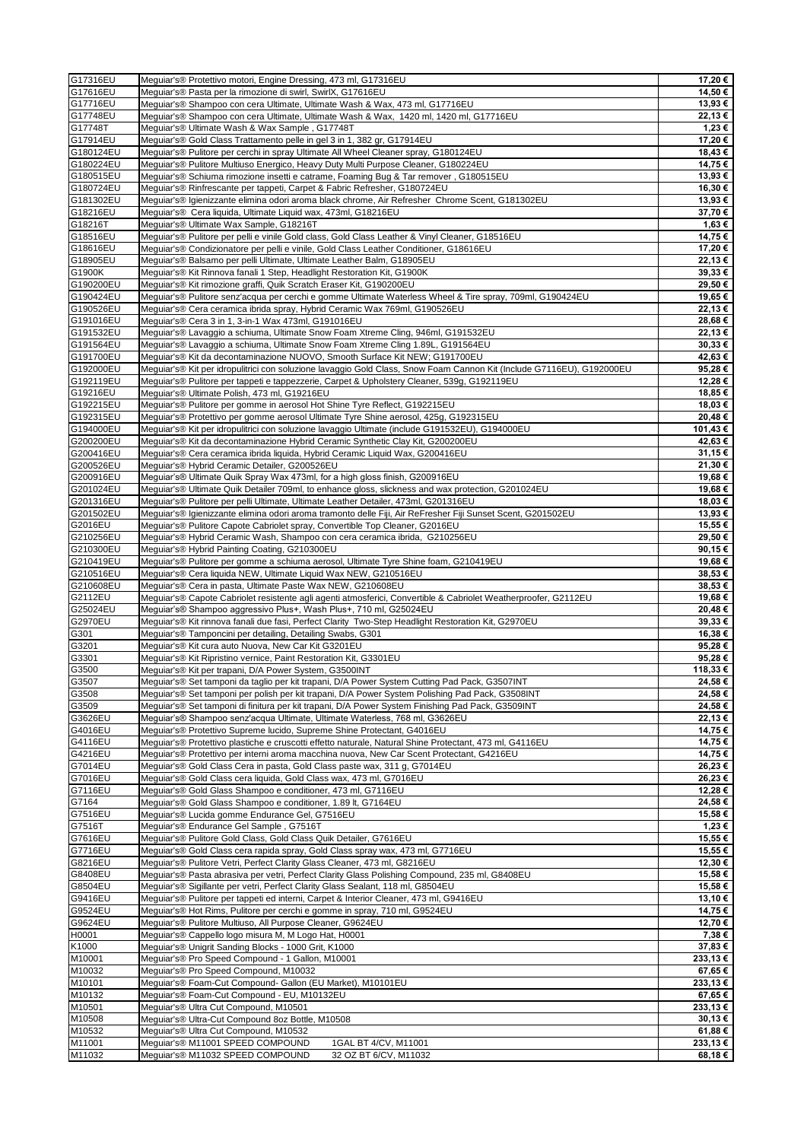| G17316EU  | Meguiar's® Protettivo motori, Engine Dressing, 473 ml, G17316EU                                                       | 17,20 €  |
|-----------|-----------------------------------------------------------------------------------------------------------------------|----------|
|           |                                                                                                                       |          |
| G17616EU  | Meguiar's® Pasta per la rimozione di swirl, SwirlX, G17616EU                                                          | 14,50 €  |
| G17716EU  | Meguiar's® Shampoo con cera Ultimate, Ultimate Wash & Wax, 473 ml, G17716EU                                           | 13,93 €  |
|           |                                                                                                                       |          |
| G17748EU  | Meguiar's® Shampoo con cera Ultimate, Ultimate Wash & Wax, 1420 ml, 1420 ml, G17716EU                                 | 22,13 €  |
| G17748T   | Meguiar's® Ultimate Wash & Wax Sample, G17748T                                                                        | 1,23 €   |
| G17914EU  | Meguiar's® Gold Class Trattamento pelle in gel 3 in 1, 382 gr, G17914EU                                               | 17,20 €  |
| G180124EU | Meguiar's® Pulitore per cerchi in spray Ultimate All Wheel Cleaner spray, G180124EU                                   | 18,43€   |
|           |                                                                                                                       |          |
| G180224EU | Meguiar's® Pulitore Multiuso Energico, Heavy Duty Multi Purpose Cleaner, G180224EU                                    | 14,75 €  |
| G180515EU | Meguiar's® Schiuma rimozione insetti e catrame, Foaming Bug & Tar remover, G180515EU                                  | 13,93 €  |
| G180724EU | Meguiar's® Rinfrescante per tappeti, Carpet & Fabric Refresher, G180724EU                                             | 16,30 €  |
|           |                                                                                                                       |          |
| G181302EU | Meguiar's® Igienizzante elimina odori aroma black chrome, Air Refresher Chrome Scent, G181302EU                       | 13,93 €  |
| G18216EU  | Meguiar's® Cera liquida, Ultimate Liquid wax, 473ml, G18216EU                                                         | 37,70€   |
| G18216T   | Mequiar's® Ultimate Wax Sample, G18216T                                                                               | 1,63 €   |
|           |                                                                                                                       |          |
| G18516EU  | Mequiar's® Pulitore per pelli e vinile Gold class, Gold Class Leather & Vinyl Cleaner, G18516EU                       | 14,75 €  |
| G18616EU  | Meguiar's® Condizionatore per pelli e vinile, Gold Class Leather Conditioner, G18616EU                                | 17,20 €  |
|           | Meguiar's® Balsamo per pelli Ultimate, Ultimate Leather Balm, G18905EU                                                |          |
| G18905EU  |                                                                                                                       | 22,13 €  |
| G1900K    | Meguiar's® Kit Rinnova fanali 1 Step, Headlight Restoration Kit, G1900K                                               | 39,33 €  |
| G190200EU | Meguiar's® Kit rimozione graffi, Quik Scratch Eraser Kit, G190200EU                                                   | 29,50 €  |
|           |                                                                                                                       |          |
| G190424EU | Meguiar's® Pulitore senz'acqua per cerchi e gomme Ultimate Waterless Wheel & Tire spray, 709ml, G190424EU             | 19,65 €  |
| G190526EU | Meguiar's® Cera ceramica ibrida spray, Hybrid Ceramic Wax 769ml, G190526EU                                            | 22,13€   |
| G191016EU | Meguiar's® Cera 3 in 1, 3-in-1 Wax 473ml, G191016EU                                                                   | 28,68€   |
|           |                                                                                                                       |          |
| G191532EU | Meguiar's® Lavaggio a schiuma, Ultimate Snow Foam Xtreme Cling, 946ml, G191532EU                                      | 22,13 €  |
| G191564EU | Meguiar's® Lavaggio a schiuma, Ultimate Snow Foam Xtreme Cling 1.89L, G191564EU                                       | 30,33 €  |
| G191700EU | Meguiar's® Kit da decontaminazione NUOVO, Smooth Surface Kit NEW; G191700EU                                           | 42,63 €  |
|           |                                                                                                                       |          |
| G192000EU | Meguiar's® Kit per idropulitrici con soluzione lavaggio Gold Class, Snow Foam Cannon Kit (Include G7116EU), G192000EU | 95,28€   |
| G192119EU | Meguiar's® Pulitore per tappeti e tappezzerie, Carpet & Upholstery Cleaner, 539g, G192119EU                           | 12,28 €  |
| G19216EU  | Meguiar's® Ultimate Polish, 473 ml, G19216EU                                                                          | 18,85€   |
|           |                                                                                                                       |          |
| G192215EU | Mequiar's® Pulitore per gomme in aerosol Hot Shine Tyre Reflect, G192215EU                                            | 18,03 €  |
| G192315EU | Meguiar's® Protettivo per gomme aerosol Ultimate Tyre Shine aerosol, 425g, G192315EU                                  | 20,48€   |
| G194000EU | Meguiar's® Kit per idropulitrici con soluzione lavaggio Ultimate (include G191532EU), G194000EU                       | 101,43 € |
|           |                                                                                                                       |          |
| G200200EU | Mequiar's® Kit da decontaminazione Hybrid Ceramic Synthetic Clay Kit, G200200EU                                       | 42,63 €  |
| G200416EU | Meguiar's® Cera ceramica ibrida liquida, Hybrid Ceramic Liquid Wax, G200416EU                                         | 31,15€   |
| G200526EU | Meguiar's® Hybrid Ceramic Detailer, G200526EU                                                                         | 21,30 €  |
|           |                                                                                                                       |          |
| G200916EU | Meguiar's® Ultimate Quik Spray Wax 473ml, for a high gloss finish, G200916EU                                          | 19,68 €  |
| G201024EU | Meguiar's® Ultimate Quik Detailer 709ml, to enhance gloss, slickness and wax protection, G201024EU                    | 19,68€   |
|           |                                                                                                                       |          |
| G201316EU | Meguiar's® Pulitore per pelli Ultimate, Ultimate Leather Detailer, 473ml, G201316EU                                   | 18,03 €  |
| G201502EU | Meguiar's® Igienizzante elimina odori aroma tramonto delle Fiji, Air ReFresher Fiji Sunset Scent, G201502EU           | 13,93 €  |
| G2016EU   | Meguiar's® Pulitore Capote Cabriolet spray, Convertible Top Cleaner, G2016EU                                          | 15,55 €  |
|           |                                                                                                                       |          |
| G210256EU | Meguiar's® Hybrid Ceramic Wash, Shampoo con cera ceramica ibrida, G210256EU                                           | 29,50€   |
| G210300EU | Meguiar's® Hybrid Painting Coating, G210300EU                                                                         | 90,15€   |
| G210419EU | Meguiar's® Pulitore per gomme a schiuma aerosol, Ultimate Tyre Shine foam, G210419EU                                  | 19,68 €  |
|           |                                                                                                                       |          |
| G210516EU | Meguiar's® Cera liquida NEW, Ultimate Liquid Wax NEW, G210516EU                                                       | 38,53€   |
|           |                                                                                                                       |          |
|           |                                                                                                                       |          |
| G210608EU | Meguiar's® Cera in pasta, Ultimate Paste Wax NEW, G210608EU                                                           | 38,53 €  |
| G2112EU   | Meguiar's® Capote Cabriolet resistente agli agenti atmosferici, Convertible & Cabriolet Weatherproofer, G2112EU       | 19,68€   |
| G25024EU  | Meguiar's® Shampoo aggressivo Plus+, Wash Plus+, 710 ml, G25024EU                                                     | 20,48€   |
|           |                                                                                                                       |          |
| G2970EU   | Meguiar's® Kit rinnova fanali due fasi, Perfect Clarity Two-Step Headlight Restoration Kit, G2970EU                   | 39,33 €  |
| G301      | Meguiar's <sup>®</sup> Tamponcini per detailing, Detailing Swabs, G301                                                | 16,38 €  |
| G3201     | Mequiar's® Kit cura auto Nuova, New Car Kit G3201EU                                                                   | 95,28€   |
|           |                                                                                                                       |          |
| G3301     | Meguiar's® Kit Ripristino vernice, Paint Restoration Kit, G3301EU                                                     | 95,28€   |
| G3500     | Meguiar's® Kit per trapani, D/A Power System, G3500INT                                                                | 118,33 € |
| G3507     | Meguiar's® Set tamponi da taglio per kit trapani, D/A Power System Cutting Pad Pack, G3507INT                         | 24,58 €  |
|           |                                                                                                                       |          |
| G3508     | Mequiar's® Set tamponi per polish per kit trapani, D/A Power System Polishing Pad Pack, G3508INT                      | 24,58 €  |
| G3509     | Mequiar's® Set tamponi di finitura per kit trapani, D/A Power System Finishing Pad Pack, G3509INT                     | 24,58 €  |
| G3626EU   | Meguiar's® Shampoo senz'acqua Ultimate, Ultimate Waterless, 768 ml, G3626EU                                           | 22,13 €  |
|           |                                                                                                                       |          |
| G4016EU   | Meguiar's® Protettivo Supreme lucido, Supreme Shine Protectant, G4016EU                                               | 14,75 €  |
| G4116EU   | Meguiar's® Protettivo plastiche e cruscotti effetto naturale, Natural Shine Protectant, 473 ml, G4116EU               | 14,75 €  |
| G4216EU   | Mequiar's® Protettivo per interni aroma macchina nuova, New Car Scent Protectant, G4216EU                             | 14,75 €  |
|           |                                                                                                                       |          |
| G7014EU   | Meguiar's® Gold Class Cera in pasta, Gold Class paste wax, 311 g, G7014EU                                             | 26,23 €  |
| G7016EU   | Mequiar's® Gold Class cera liquida, Gold Class wax, 473 ml, G7016EU                                                   | 26,23€   |
| G7116EU   | Meguiar's® Gold Glass Shampoo e conditioner, 473 ml, G7116EU                                                          | 12,28 €  |
|           |                                                                                                                       |          |
| G7164     | Meguiar's® Gold Glass Shampoo e conditioner, 1.89 lt, G7164EU                                                         | 24,58 €  |
| G7516EU   | Mequiar's® Lucida gomme Endurance Gel, G7516EU                                                                        | 15,58 €  |
| G7516T    | Meguiar's® Endurance Gel Sample, G7516T                                                                               | 1,23 €   |
|           |                                                                                                                       |          |
| G7616EU   | Meguiar's® Pulitore Gold Class, Gold Class Quik Detailer, G7616EU                                                     | 15,55 €  |
| G7716EU   | Meguiar's® Gold Class cera rapida spray, Gold Class spray wax, 473 ml, G7716EU                                        | 15,55 €  |
| G8216EU   | Meguiar's® Pulitore Vetri, Perfect Clarity Glass Cleaner, 473 ml, G8216EU                                             | 12,30 €  |
| G8408EU   |                                                                                                                       | 15,58€   |
|           | Meguiar's® Pasta abrasiva per vetri, Perfect Clarity Glass Polishing Compound, 235 ml, G8408EU                        |          |
| G8504EU   | Meguiar's® Sigillante per vetri, Perfect Clarity Glass Sealant, 118 ml, G8504EU                                       | 15,58 €  |
| G9416EU   | Meguiar's® Pulitore per tappeti ed interni, Carpet & Interior Cleaner, 473 ml, G9416EU                                | 13,10 €  |
|           |                                                                                                                       |          |
| G9524EU   | Meguiar's® Hot Rims, Pulitore per cerchi e gomme in spray, 710 ml, G9524EU                                            | 14,75 €  |
| G9624EU   | Meguiar's® Pulitore Multiuso, All Purpose Cleaner, G9624EU                                                            | 12,70 €  |
| H0001     | Meguiar's® Cappello logo misura M, M Logo Hat, H0001                                                                  | 7,38 €   |
|           |                                                                                                                       |          |
| K1000     | Meguiar's® Unigrit Sanding Blocks - 1000 Grit, K1000                                                                  | 37,83€   |
| M10001    | Meguiar's® Pro Speed Compound - 1 Gallon, M10001                                                                      | 233,13 € |
| M10032    | Meguiar's® Pro Speed Compound, M10032                                                                                 | 67,65 €  |
|           |                                                                                                                       |          |
| M10101    | Meguiar's® Foam-Cut Compound- Gallon (EU Market), M10101EU                                                            | 233,13 € |
| M10132    | Meguiar's® Foam-Cut Compound - EU, M10132EU                                                                           | 67,65 €  |
| M10501    | Meguiar's® Ultra Cut Compound, M10501                                                                                 | 233,13€  |
|           |                                                                                                                       |          |
| M10508    | Meguiar's® Ultra-Cut Compound 8oz Bottle, M10508                                                                      | 30,13 €  |
| M10532    | Meguiar's® Ultra Cut Compound, M10532                                                                                 | 61,88 €  |
| M11001    | Meguiar's® M11001 SPEED COMPOUND<br>1GAL BT 4/CV, M11001                                                              | 233,13 € |
| M11032    | Meguiar's® M11032 SPEED COMPOUND<br>32 OZ BT 6/CV, M11032                                                             | 68,18€   |